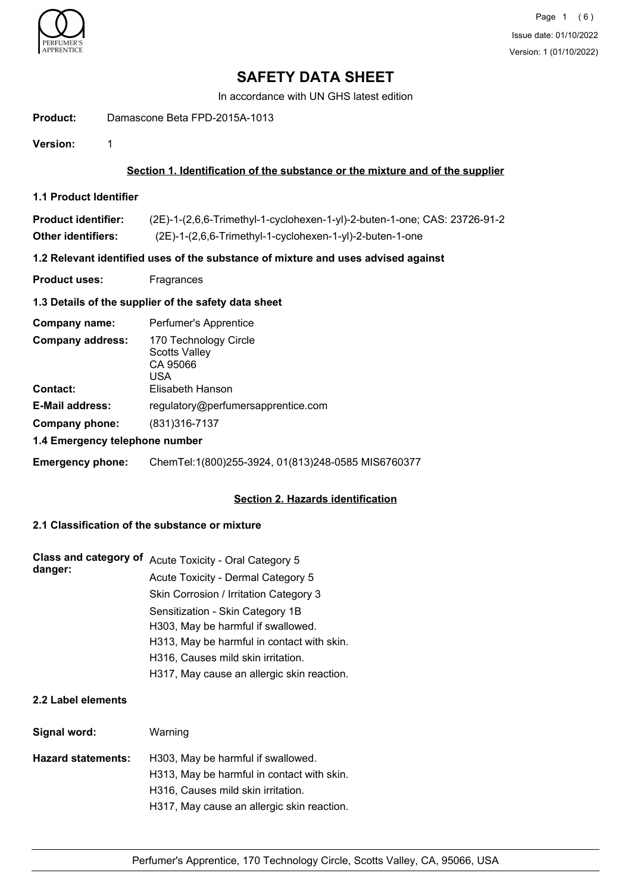

In accordance with UN GHS latest edition

## **Product:** Damascone Beta FPD-2015A-1013

**Version:** 1

# **Section 1. Identification of the substance or the mixture and of the supplier**

**1.1 Product Identifier**

| <b>Product identifier:</b> | (2E)-1-(2,6,6-Trimethyl-1-cyclohexen-1-yl)-2-buten-1-one; CAS: 23726-91-2 |
|----------------------------|---------------------------------------------------------------------------|
| <b>Other identifiers:</b>  | (2E)-1-(2,6,6-Trimethyl-1-cyclohexen-1-yl)-2-buten-1-one                  |

# **1.2 Relevant identified uses of the substance of mixture and uses advised against**

**Product uses:** Fragrances

# **1.3 Details of the supplier of the safety data sheet**

| Company name:                  | Perfumer's Apprentice                                            |  |
|--------------------------------|------------------------------------------------------------------|--|
| <b>Company address:</b>        | 170 Technology Circle<br><b>Scotts Valley</b><br>CA 95066<br>USA |  |
| Contact:                       | Elisabeth Hanson                                                 |  |
| <b>E-Mail address:</b>         | regulatory@perfumersapprentice.com                               |  |
| Company phone:                 | (831) 316-7137                                                   |  |
| 1.4 Emergency telephone number |                                                                  |  |

# **Emergency phone:** ChemTel:1(800)255-3924, 01(813)248-0585 MIS6760377

# **Section 2. Hazards identification**

# **2.1 Classification of the substance or mixture**

| <b>Class and category of</b> | Acute Toxicity - Oral Category 5           |
|------------------------------|--------------------------------------------|
| danger:                      | Acute Toxicity - Dermal Category 5         |
|                              | Skin Corrosion / Irritation Category 3     |
|                              | Sensitization - Skin Category 1B           |
|                              | H303, May be harmful if swallowed.         |
|                              | H313, May be harmful in contact with skin. |
|                              | H316, Causes mild skin irritation.         |
|                              | H317, May cause an allergic skin reaction. |

# **2.2 Label elements**

| Signal word:              | Warning                                    |
|---------------------------|--------------------------------------------|
| <b>Hazard statements:</b> | H303, May be harmful if swallowed.         |
|                           | H313, May be harmful in contact with skin. |
|                           | H316, Causes mild skin irritation.         |
|                           | H317, May cause an allergic skin reaction. |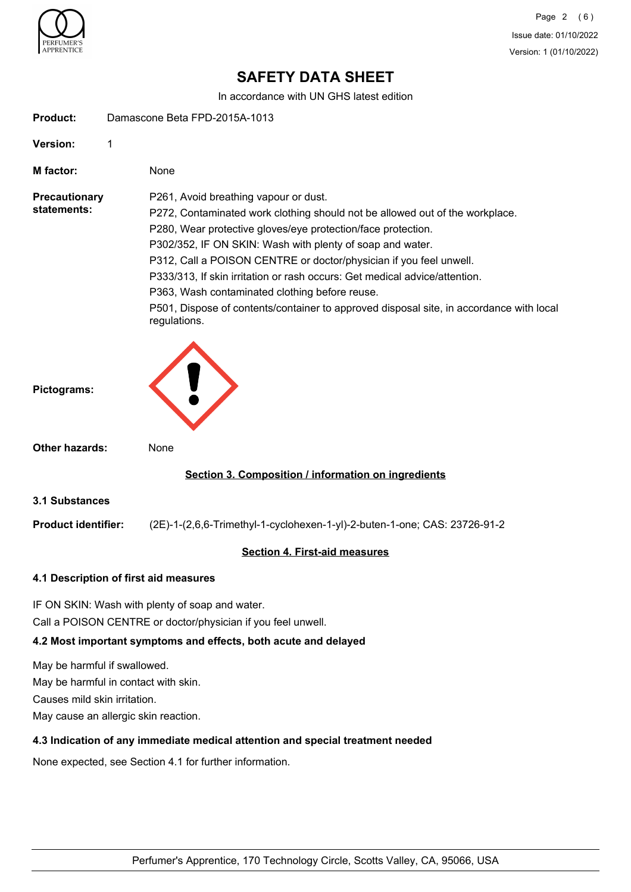

In accordance with UN GHS latest edition

| <b>Product:</b>                     | Damascone Beta FPD-2015A-1013                                                                                                                                                                                                                                                                                                                                                                                                                                                                                                                                       |  |
|-------------------------------------|---------------------------------------------------------------------------------------------------------------------------------------------------------------------------------------------------------------------------------------------------------------------------------------------------------------------------------------------------------------------------------------------------------------------------------------------------------------------------------------------------------------------------------------------------------------------|--|
| Version:                            | 1                                                                                                                                                                                                                                                                                                                                                                                                                                                                                                                                                                   |  |
| <b>M</b> factor:                    | None                                                                                                                                                                                                                                                                                                                                                                                                                                                                                                                                                                |  |
| <b>Precautionary</b><br>statements: | P261, Avoid breathing vapour or dust.<br>P272, Contaminated work clothing should not be allowed out of the workplace.<br>P280, Wear protective gloves/eye protection/face protection.<br>P302/352, IF ON SKIN: Wash with plenty of soap and water.<br>P312, Call a POISON CENTRE or doctor/physician if you feel unwell.<br>P333/313, If skin irritation or rash occurs: Get medical advice/attention.<br>P363, Wash contaminated clothing before reuse.<br>P501, Dispose of contents/container to approved disposal site, in accordance with local<br>regulations. |  |
| Pictograms:                         |                                                                                                                                                                                                                                                                                                                                                                                                                                                                                                                                                                     |  |
| <b>Other hazards:</b>               | None                                                                                                                                                                                                                                                                                                                                                                                                                                                                                                                                                                |  |
|                                     | Section 3. Composition / information on ingredients                                                                                                                                                                                                                                                                                                                                                                                                                                                                                                                 |  |
| <b>3.1 Substances</b>               |                                                                                                                                                                                                                                                                                                                                                                                                                                                                                                                                                                     |  |
| <b>Product identifier:</b>          | (2E)-1-(2,6,6-Trimethyl-1-cyclohexen-1-yl)-2-buten-1-one; CAS: 23726-91-2                                                                                                                                                                                                                                                                                                                                                                                                                                                                                           |  |
|                                     | <b>Section 4. First-aid measures</b>                                                                                                                                                                                                                                                                                                                                                                                                                                                                                                                                |  |
|                                     | 4.1 Description of first aid measures                                                                                                                                                                                                                                                                                                                                                                                                                                                                                                                               |  |
|                                     | IF ON SKIN: Wash with plenty of soap and water.<br>Call a POISON CENTRE or doctor/physician if you feel unwell.<br>4.2 Most important symptoms and effects, both acute and delayed                                                                                                                                                                                                                                                                                                                                                                                  |  |
| May be harmful if swallowed.        | May be harmful in contact with skin.                                                                                                                                                                                                                                                                                                                                                                                                                                                                                                                                |  |

Causes mild skin irritation.

May cause an allergic skin reaction.

# **4.3 Indication of any immediate medical attention and special treatment needed**

None expected, see Section 4.1 for further information.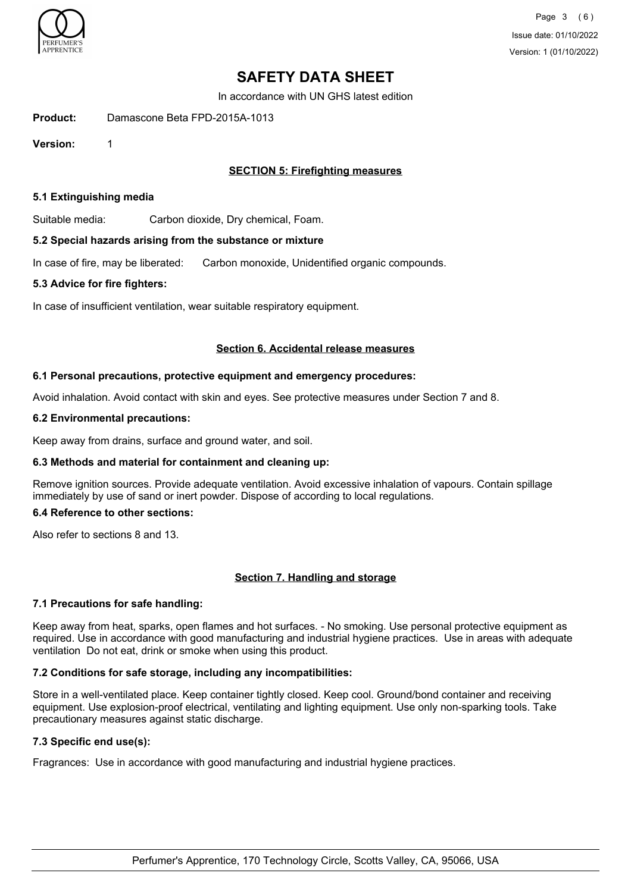

In accordance with UN GHS latest edition

**Product:** Damascone Beta FPD-2015A-1013

**Version:** 1

# **SECTION 5: Firefighting measures**

# **5.1 Extinguishing media**

Suitable media: Carbon dioxide, Dry chemical, Foam.

# **5.2 Special hazards arising from the substance or mixture**

In case of fire, may be liberated: Carbon monoxide, Unidentified organic compounds.

# **5.3 Advice for fire fighters:**

In case of insufficient ventilation, wear suitable respiratory equipment.

# **Section 6. Accidental release measures**

# **6.1 Personal precautions, protective equipment and emergency procedures:**

Avoid inhalation. Avoid contact with skin and eyes. See protective measures under Section 7 and 8.

# **6.2 Environmental precautions:**

Keep away from drains, surface and ground water, and soil.

# **6.3 Methods and material for containment and cleaning up:**

Remove ignition sources. Provide adequate ventilation. Avoid excessive inhalation of vapours. Contain spillage immediately by use of sand or inert powder. Dispose of according to local regulations.

# **6.4 Reference to other sections:**

Also refer to sections 8 and 13.

# **Section 7. Handling and storage**

# **7.1 Precautions for safe handling:**

Keep away from heat, sparks, open flames and hot surfaces. - No smoking. Use personal protective equipment as required. Use in accordance with good manufacturing and industrial hygiene practices. Use in areas with adequate ventilation Do not eat, drink or smoke when using this product.

# **7.2 Conditions for safe storage, including any incompatibilities:**

Store in a well-ventilated place. Keep container tightly closed. Keep cool. Ground/bond container and receiving equipment. Use explosion-proof electrical, ventilating and lighting equipment. Use only non-sparking tools. Take precautionary measures against static discharge.

# **7.3 Specific end use(s):**

Fragrances: Use in accordance with good manufacturing and industrial hygiene practices.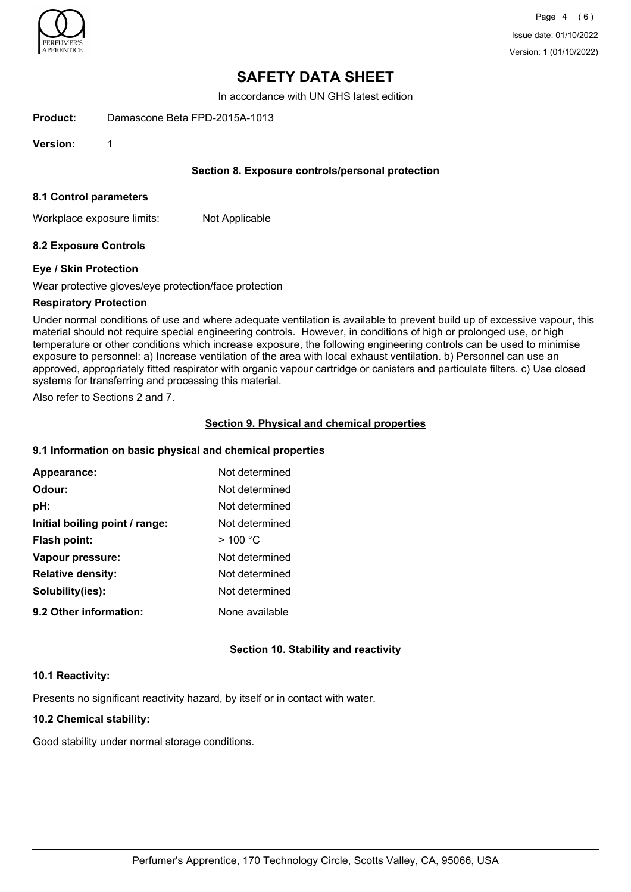

In accordance with UN GHS latest edition

**Product:** Damascone Beta FPD-2015A-1013

**Version:** 1

# **Section 8. Exposure controls/personal protection**

#### **8.1 Control parameters**

Workplace exposure limits: Not Applicable

# **8.2 Exposure Controls**

#### **Eye / Skin Protection**

Wear protective gloves/eye protection/face protection

#### **Respiratory Protection**

Under normal conditions of use and where adequate ventilation is available to prevent build up of excessive vapour, this material should not require special engineering controls. However, in conditions of high or prolonged use, or high temperature or other conditions which increase exposure, the following engineering controls can be used to minimise exposure to personnel: a) Increase ventilation of the area with local exhaust ventilation. b) Personnel can use an approved, appropriately fitted respirator with organic vapour cartridge or canisters and particulate filters. c) Use closed systems for transferring and processing this material.

Also refer to Sections 2 and 7.

#### **Section 9. Physical and chemical properties**

## **9.1 Information on basic physical and chemical properties**

| Appearance:                    | Not determined |
|--------------------------------|----------------|
| Odour:                         | Not determined |
| pH:                            | Not determined |
| Initial boiling point / range: | Not determined |
| Flash point:                   | >100 °C        |
| Vapour pressure:               | Not determined |
| <b>Relative density:</b>       | Not determined |
| Solubility(ies):               | Not determined |
| 9.2 Other information:         | None available |

# **Section 10. Stability and reactivity**

#### **10.1 Reactivity:**

Presents no significant reactivity hazard, by itself or in contact with water.

# **10.2 Chemical stability:**

Good stability under normal storage conditions.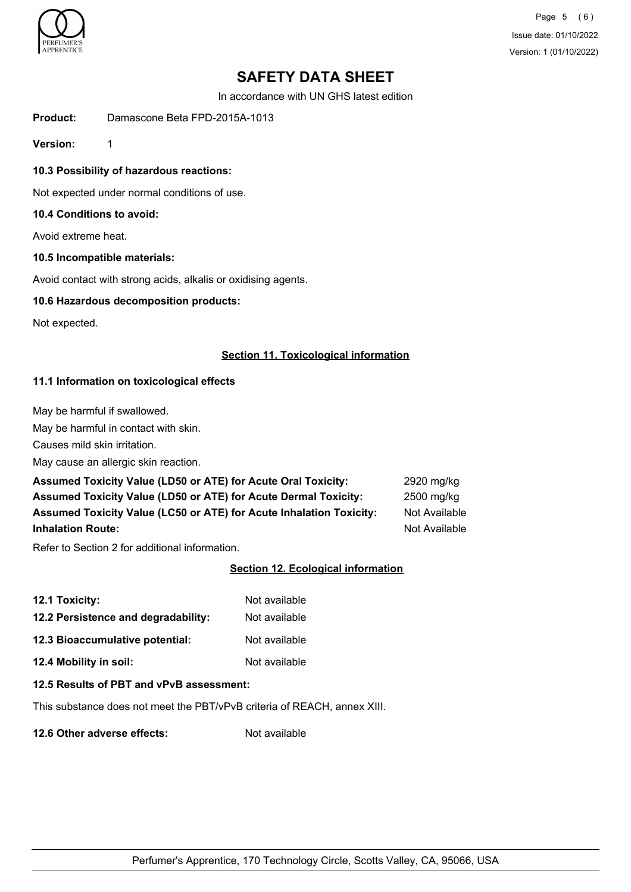

Page 5 (6) Issue date: 01/10/2022 Version: 1 (01/10/2022)

# **SAFETY DATA SHEET**

In accordance with UN GHS latest edition

**Product:** Damascone Beta FPD-2015A-1013

**Version:** 1

**10.3 Possibility of hazardous reactions:**

Not expected under normal conditions of use.

## **10.4 Conditions to avoid:**

Avoid extreme heat.

# **10.5 Incompatible materials:**

Avoid contact with strong acids, alkalis or oxidising agents.

### **10.6 Hazardous decomposition products:**

Not expected.

#### **Section 11. Toxicological information**

# **11.1 Information on toxicological effects**

May be harmful if swallowed.

May be harmful in contact with skin.

Causes mild skin irritation.

May cause an allergic skin reaction.

| <b>Assumed Toxicity Value (LD50 or ATE) for Acute Oral Toxicity:</b>   | 2920 mg/kg    |
|------------------------------------------------------------------------|---------------|
| <b>Assumed Toxicity Value (LD50 or ATE) for Acute Dermal Toxicity:</b> | 2500 ma/ka    |
| Assumed Toxicity Value (LC50 or ATE) for Acute Inhalation Toxicity:    | Not Available |
| <b>Inhalation Route:</b>                                               | Not Available |

Refer to Section 2 for additional information.

# **Section 12. Ecological information**

| 12.1 Toxicity:                      | Not available |
|-------------------------------------|---------------|
| 12.2 Persistence and degradability: | Not available |
| 12.3 Bioaccumulative potential:     | Not available |
| 12.4 Mobility in soil:              | Not available |

#### **12.5 Results of PBT and vPvB assessment:**

This substance does not meet the PBT/vPvB criteria of REACH, annex XIII.

**12.6 Other adverse effects:** Not available